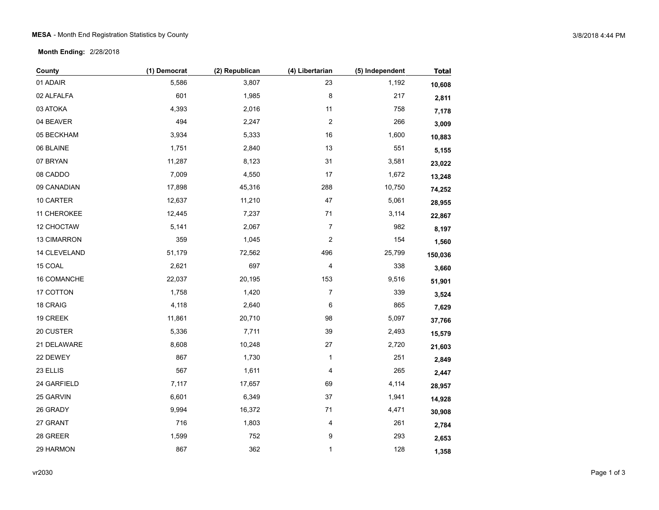## **MESA** - Month End Registration Statistics by County 3/8/2018 4:44 PM

**Month Ending:** 2/28/2018

| County       | (1) Democrat | (2) Republican | (4) Libertarian         | (5) Independent | <b>Total</b> |
|--------------|--------------|----------------|-------------------------|-----------------|--------------|
| 01 ADAIR     | 5,586        | 3,807          | 23                      | 1,192           | 10,608       |
| 02 ALFALFA   | 601          | 1,985          | 8                       | 217             | 2,811        |
| 03 ATOKA     | 4,393        | 2,016          | 11                      | 758             | 7,178        |
| 04 BEAVER    | 494          | 2,247          | 2                       | 266             | 3,009        |
| 05 BECKHAM   | 3,934        | 5,333          | $16\,$                  | 1,600           | 10,883       |
| 06 BLAINE    | 1,751        | 2,840          | 13                      | 551             | 5,155        |
| 07 BRYAN     | 11,287       | 8,123          | 31                      | 3,581           | 23,022       |
| 08 CADDO     | 7,009        | 4,550          | 17                      | 1,672           | 13,248       |
| 09 CANADIAN  | 17,898       | 45,316         | 288                     | 10,750          | 74,252       |
| 10 CARTER    | 12,637       | 11,210         | 47                      | 5,061           | 28,955       |
| 11 CHEROKEE  | 12,445       | 7,237          | 71                      | 3,114           | 22,867       |
| 12 CHOCTAW   | 5,141        | 2,067          | 7                       | 982             | 8,197        |
| 13 CIMARRON  | 359          | 1,045          | $\overline{\mathbf{c}}$ | 154             | 1,560        |
| 14 CLEVELAND | 51,179       | 72,562         | 496                     | 25,799          | 150,036      |
| 15 COAL      | 2,621        | 697            | 4                       | 338             | 3,660        |
| 16 COMANCHE  | 22,037       | 20,195         | 153                     | 9,516           | 51,901       |
| 17 COTTON    | 1,758        | 1,420          | $\boldsymbol{7}$        | 339             | 3,524        |
| 18 CRAIG     | 4,118        | 2,640          | 6                       | 865             | 7,629        |
| 19 CREEK     | 11,861       | 20,710         | 98                      | 5,097           | 37,766       |
| 20 CUSTER    | 5,336        | 7,711          | 39                      | 2,493           | 15,579       |
| 21 DELAWARE  | 8,608        | 10,248         | $27\,$                  | 2,720           | 21,603       |
| 22 DEWEY     | 867          | 1,730          | 1                       | 251             | 2,849        |
| 23 ELLIS     | 567          | 1,611          | 4                       | 265             | 2,447        |
| 24 GARFIELD  | 7,117        | 17,657         | 69                      | 4,114           | 28,957       |
| 25 GARVIN    | 6,601        | 6,349          | 37                      | 1,941           | 14,928       |
| 26 GRADY     | 9,994        | 16,372         | $71$                    | 4,471           | 30,908       |
| 27 GRANT     | 716          | 1,803          | 4                       | 261             | 2,784        |
| 28 GREER     | 1,599        | 752            | 9                       | 293             | 2,653        |
| 29 HARMON    | 867          | 362            | $\mathbf{1}$            | 128             | 1,358        |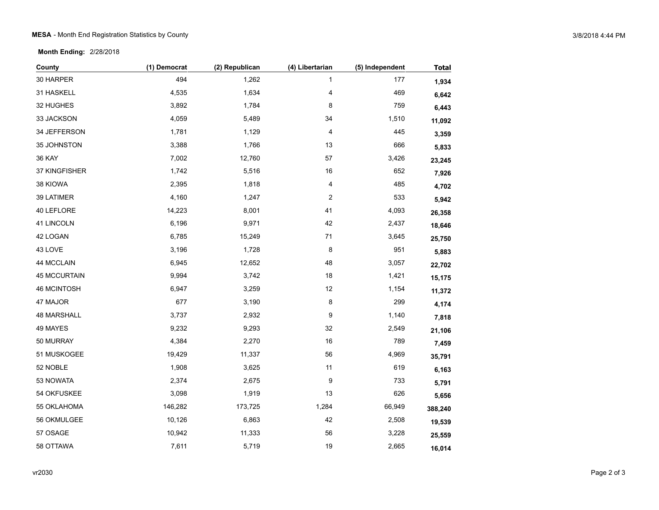**Month Ending:** 2/28/2018

| County              | (1) Democrat | (2) Republican | (4) Libertarian         | (5) Independent | <b>Total</b> |
|---------------------|--------------|----------------|-------------------------|-----------------|--------------|
| 30 HARPER           | 494          | 1,262          | 1                       | 177             | 1,934        |
| 31 HASKELL          | 4,535        | 1,634          | 4                       | 469             | 6,642        |
| 32 HUGHES           | 3,892        | 1,784          | 8                       | 759             | 6,443        |
| 33 JACKSON          | 4,059        | 5,489          | 34                      | 1,510           | 11,092       |
| 34 JEFFERSON        | 1,781        | 1,129          | 4                       | 445             | 3,359        |
| 35 JOHNSTON         | 3,388        | 1,766          | 13                      | 666             | 5,833        |
| <b>36 KAY</b>       | 7,002        | 12,760         | 57                      | 3,426           | 23,245       |
| 37 KINGFISHER       | 1,742        | 5,516          | $16\,$                  | 652             | 7,926        |
| 38 KIOWA            | 2,395        | 1,818          | 4                       | 485             | 4,702        |
| 39 LATIMER          | 4,160        | 1,247          | $\overline{\mathbf{c}}$ | 533             | 5,942        |
| 40 LEFLORE          | 14,223       | 8,001          | 41                      | 4,093           | 26,358       |
| 41 LINCOLN          | 6,196        | 9,971          | 42                      | 2,437           | 18,646       |
| 42 LOGAN            | 6,785        | 15,249         | $71$                    | 3,645           | 25,750       |
| 43 LOVE             | 3,196        | 1,728          | 8                       | 951             | 5,883        |
| 44 MCCLAIN          | 6,945        | 12,652         | 48                      | 3,057           | 22,702       |
| <b>45 MCCURTAIN</b> | 9,994        | 3,742          | $18$                    | 1,421           | 15,175       |
| <b>46 MCINTOSH</b>  | 6,947        | 3,259          | 12                      | 1,154           | 11,372       |
| 47 MAJOR            | 677          | 3,190          | 8                       | 299             | 4,174        |
| <b>48 MARSHALL</b>  | 3,737        | 2,932          | 9                       | 1,140           | 7,818        |
| 49 MAYES            | 9,232        | 9,293          | 32                      | 2,549           | 21,106       |
| 50 MURRAY           | 4,384        | 2,270          | 16                      | 789             | 7,459        |
| 51 MUSKOGEE         | 19,429       | 11,337         | 56                      | 4,969           | 35,791       |
| 52 NOBLE            | 1,908        | 3,625          | 11                      | 619             | 6,163        |
| 53 NOWATA           | 2,374        | 2,675          | 9                       | 733             | 5,791        |
| 54 OKFUSKEE         | 3,098        | 1,919          | 13                      | 626             | 5,656        |
| 55 OKLAHOMA         | 146,282      | 173,725        | 1,284                   | 66,949          | 388,240      |
| 56 OKMULGEE         | 10,126       | 6,863          | 42                      | 2,508           | 19,539       |
| 57 OSAGE            | 10,942       | 11,333         | 56                      | 3,228           | 25,559       |
| 58 OTTAWA           | 7,611        | 5,719          | 19                      | 2,665           | 16,014       |